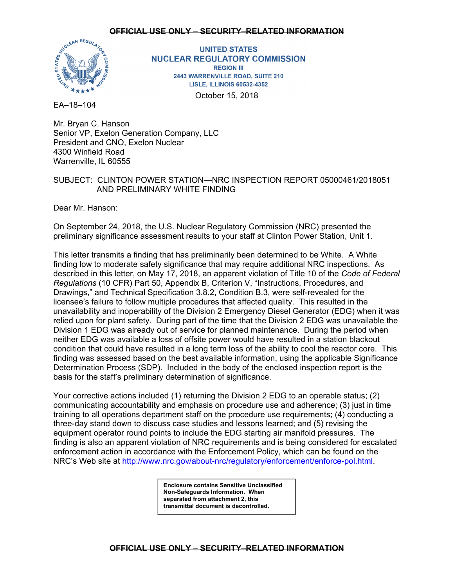

**UNITED STATES NUCLEAR REGULATORY COMMISSION REGION III** 2443 WARRENVILLE ROAD, SUITE 210 **LISLE, ILLINOIS 60532-4352** October 15, 2018

EA–18–104

Mr. Bryan C. Hanson Senior VP, Exelon Generation Company, LLC President and CNO, Exelon Nuclear 4300 Winfield Road Warrenville, IL 60555

## SUBJECT: CLINTON POWER STATION—NRC INSPECTION REPORT 05000461/2018051 AND PRELIMINARY WHITE FINDING

Dear Mr. Hanson:

On September 24, 2018, the U.S. Nuclear Regulatory Commission (NRC) presented the preliminary significance assessment results to your staff at Clinton Power Station, Unit 1.

This letter transmits a finding that has preliminarily been determined to be White. A White finding low to moderate safety significance that may require additional NRC inspections. As described in this letter, on May 17, 2018, an apparent violation of Title 10 of the *Code of Federal Regulations* (10 CFR) Part 50, Appendix B, Criterion V, "Instructions, Procedures, and Drawings," and Technical Specification 3.8.2, Condition B.3, were self-revealed for the licensee's failure to follow multiple procedures that affected quality. This resulted in the unavailability and inoperability of the Division 2 Emergency Diesel Generator (EDG) when it was relied upon for plant safety. During part of the time that the Division 2 EDG was unavailable the Division 1 EDG was already out of service for planned maintenance. During the period when neither EDG was available a loss of offsite power would have resulted in a station blackout condition that could have resulted in a long term loss of the ability to cool the reactor core. This finding was assessed based on the best available information, using the applicable Significance Determination Process (SDP). Included in the body of the enclosed inspection report is the basis for the staff's preliminary determination of significance.

Your corrective actions included (1) returning the Division 2 EDG to an operable status; (2) communicating accountability and emphasis on procedure use and adherence; (3) just in time training to all operations department staff on the procedure use requirements; (4) conducting a three-day stand down to discuss case studies and lessons learned; and (5) revising the equipment operator round points to include the EDG starting air manifold pressures. The finding is also an apparent violation of NRC requirements and is being considered for escalated enforcement action in accordance with the Enforcement Policy, which can be found on the NRC's Web site at http://www.nrc.gov/about-nrc/regulatory/enforcement/enforce-pol.html.

> **Enclosure contains Sensitive Unclassified Non-Safeguards Information. When separated from attachment 2, this transmittal document is decontrolled.**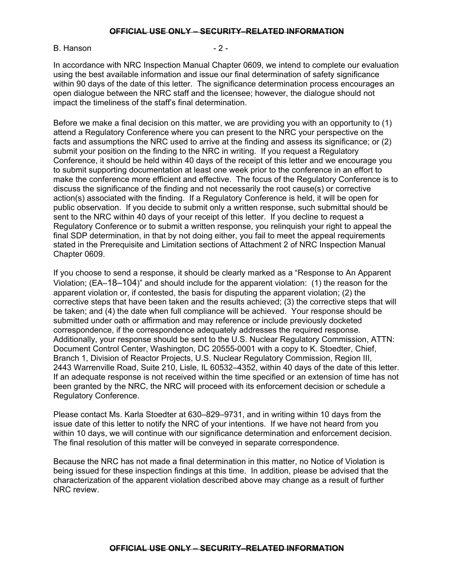#### B. Hanson - 2 -

In accordance with NRC Inspection Manual Chapter 0609, we intend to complete our evaluation using the best available information and issue our final determination of safety significance within 90 days of the date of this letter. The significance determination process encourages an open dialogue between the NRC staff and the licensee; however, the dialogue should not impact the timeliness of the staff's final determination.

Before we make a final decision on this matter, we are providing you with an opportunity to (1) attend a Regulatory Conference where you can present to the NRC your perspective on the facts and assumptions the NRC used to arrive at the finding and assess its significance; or (2) submit your position on the finding to the NRC in writing. If you request a Regulatory Conference, it should be held within 40 days of the receipt of this letter and we encourage you to submit supporting documentation at least one week prior to the conference in an effort to make the conference more efficient and effective. The focus of the Regulatory Conference is to discuss the significance of the finding and not necessarily the root cause(s) or corrective action(s) associated with the finding. If a Regulatory Conference is held, it will be open for public observation. If you decide to submit only a written response, such submittal should be sent to the NRC within 40 days of your receipt of this letter. If you decline to request a Regulatory Conference or to submit a written response, you relinquish your right to appeal the final SDP determination, in that by not doing either, you fail to meet the appeal requirements stated in the Prerequisite and Limitation sections of Attachment 2 of NRC Inspection Manual Chapter 0609.

If you choose to send a response, it should be clearly marked as a "Response to An Apparent Violation; (EA–18–104)" and should include for the apparent violation: (1) the reason for the apparent violation or, if contested, the basis for disputing the apparent violation; (2) the corrective steps that have been taken and the results achieved; (3) the corrective steps that will be taken; and (4) the date when full compliance will be achieved. Your response should be submitted under oath or affirmation and may reference or include previously docketed correspondence, if the correspondence adequately addresses the required response. Additionally, your response should be sent to the U.S. Nuclear Regulatory Commission, ATTN: Document Control Center, Washington, DC 20555-0001 with a copy to K. Stoedter, Chief, Branch 1, Division of Reactor Projects, U.S. Nuclear Regulatory Commission, Region III, 2443 Warrenville Road, Suite 210, Lisle, IL 60532–4352, within 40 days of the date of this letter. If an adequate response is not received within the time specified or an extension of time has not been granted by the NRC, the NRC will proceed with its enforcement decision or schedule a Regulatory Conference.

Please contact Ms. Karla Stoedter at 630–829–9731, and in writing within 10 days from the issue date of this letter to notify the NRC of your intentions. If we have not heard from you within 10 days, we will continue with our significance determination and enforcement decision. The final resolution of this matter will be conveyed in separate correspondence.

Because the NRC has not made a final determination in this matter, no Notice of Violation is being issued for these inspection findings at this time. In addition, please be advised that the characterization of the apparent violation described above may change as a result of further NRC review.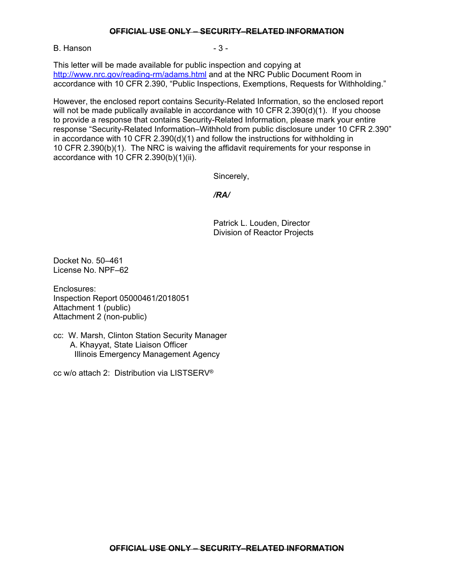B. Hanson **B.** Hanson

This letter will be made available for public inspection and copying at http://www.nrc.gov/reading-rm/adams.html and at the NRC Public Document Room in accordance with 10 CFR 2.390, "Public Inspections, Exemptions, Requests for Withholding."

However, the enclosed report contains Security-Related Information, so the enclosed report will not be made publically available in accordance with 10 CFR 2.390(d)(1). If you choose to provide a response that contains Security-Related Information, please mark your entire response "Security-Related Information–Withhold from public disclosure under 10 CFR 2.390" in accordance with 10 CFR 2.390(d)(1) and follow the instructions for withholding in 10 CFR 2.390(b)(1). The NRC is waiving the affidavit requirements for your response in accordance with 10 CFR 2.390(b)(1)(ii).

Sincerely,

*/RA/* 

Patrick L. Louden, Director Division of Reactor Projects

Docket No. 50–461 License No. NPF–62

Enclosures: Inspection Report 05000461/2018051 Attachment 1 (public) Attachment 2 (non-public)

cc: W. Marsh, Clinton Station Security Manager A. Khayyat, State Liaison Officer Illinois Emergency Management Agency

cc w/o attach 2: Distribution via LISTSERV®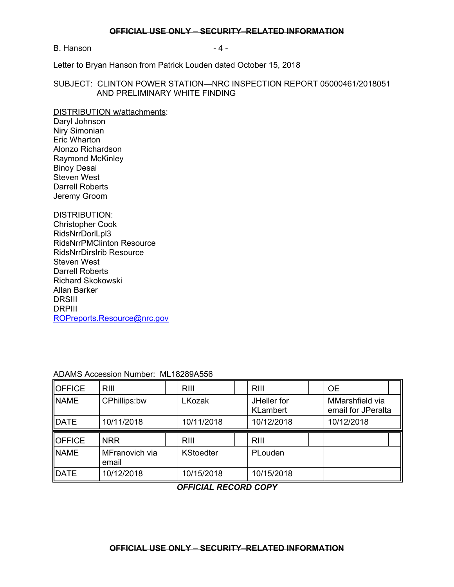B. Hanson **B.** Hanson

Letter to Bryan Hanson from Patrick Louden dated October 15, 2018

### SUBJECT: CLINTON POWER STATION—NRC INSPECTION REPORT 05000461/2018051 AND PRELIMINARY WHITE FINDING

#### DISTRIBUTION w/attachments:

Daryl Johnson Niry Simonian Eric Wharton Alonzo Richardson Raymond McKinley Binoy Desai Steven West Darrell Roberts Jeremy Groom

## DISTRIBUTION:

Christopher Cook RidsNrrDorlLpl3 RidsNrrPMClinton Resource RidsNrrDirsIrib Resource Steven West Darrell Roberts Richard Skokowski Allan Barker DRSIII DRPIII ROPreports.Resource@nrc.gov

| <b>OFFICE</b> | RIII                    | <b>RIII</b>      | <b>RIII</b>                    | <b>OE</b>                             |  |
|---------------|-------------------------|------------------|--------------------------------|---------------------------------------|--|
| <b>NAME</b>   | CPhillips:bw            | LKozak           | JHeller for<br><b>KLambert</b> | MMarshfield via<br>email for JPeralta |  |
| DATE          | 10/11/2018              | 10/11/2018       | 10/12/2018                     | 10/12/2018                            |  |
|               |                         |                  |                                |                                       |  |
| <b>OFFICE</b> | <b>NRR</b>              | <b>RIII</b>      | <b>RIII</b>                    |                                       |  |
| <b>NAME</b>   | MFranovich via<br>email | <b>KStoedter</b> | PLouden                        |                                       |  |

ADAMS Accession Number: ML18289A556

## *OFFICIAL RECORD COPY*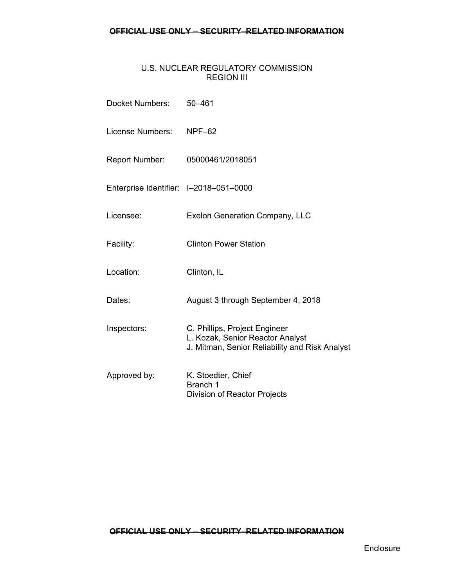## U.S. NUCLEAR REGULATORY COMMISSION REGION III

| Docket Numbers:                        | $50 - 461$                                                                                                          |
|----------------------------------------|---------------------------------------------------------------------------------------------------------------------|
| License Numbers: NPF-62                |                                                                                                                     |
| Report Number:                         | 05000461/2018051                                                                                                    |
| Enterprise Identifier: I-2018-051-0000 |                                                                                                                     |
| Licensee:                              | <b>Exelon Generation Company, LLC</b>                                                                               |
| Facility:                              | <b>Clinton Power Station</b>                                                                                        |
| Location:                              | Clinton, IL                                                                                                         |
| Dates:                                 | August 3 through September 4, 2018                                                                                  |
| Inspectors:                            | C. Phillips, Project Engineer<br>L. Kozak, Senior Reactor Analyst<br>J. Mitman, Senior Reliability and Risk Analyst |
| Approved by:                           | K. Stoedter, Chief<br>Branch 1<br>Division of Reactor Projects                                                      |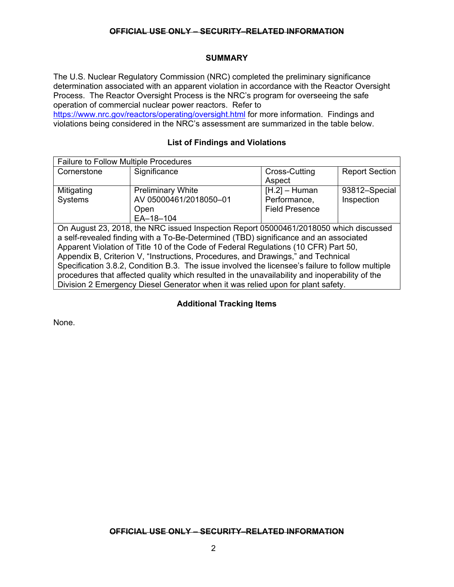## **SUMMARY**

The U.S. Nuclear Regulatory Commission (NRC) completed the preliminary significance determination associated with an apparent violation in accordance with the Reactor Oversight Process. The Reactor Oversight Process is the NRC's program for overseeing the safe operation of commercial nuclear power reactors. Refer to

https://www.nrc.gov/reactors/operating/oversight.html for more information. Findings and violations being considered in the NRC's assessment are summarized in the table below.

## **List of Findings and Violations**

| <b>Failure to Follow Multiple Procedures</b> |                                                                                       |                       |                       |
|----------------------------------------------|---------------------------------------------------------------------------------------|-----------------------|-----------------------|
| Cornerstone                                  | Significance                                                                          | Cross-Cutting         | <b>Report Section</b> |
|                                              |                                                                                       | Aspect                |                       |
| Mitigating                                   | <b>Preliminary White</b>                                                              | $[H.2] - Human$       | 93812-Special         |
| Systems                                      | AV 05000461/2018050-01                                                                | Performance,          | Inspection            |
|                                              | Open                                                                                  | <b>Field Presence</b> |                       |
|                                              | EA-18-104                                                                             |                       |                       |
|                                              | On August 23, 2018, the NRC issued Inspection Report 05000461/2018050 which discussed |                       |                       |
|                                              | a self-revealed finding with a To-Be-Determined (TBD) significance and an associated  |                       |                       |
|                                              | Apparent Violation of Title 10 of the Code of Eederal Pequiptions (10 CED) Part 50    |                       |                       |

Apparent Violation of Title 10 of the Code of Federal Regulations (10 CFR) Part 50, Appendix B, Criterion V, "Instructions, Procedures, and Drawings," and Technical Specification 3.8.2, Condition B.3. The issue involved the licensee's failure to follow multiple procedures that affected quality which resulted in the unavailability and inoperability of the Division 2 Emergency Diesel Generator when it was relied upon for plant safety.

## **Additional Tracking Items**

None.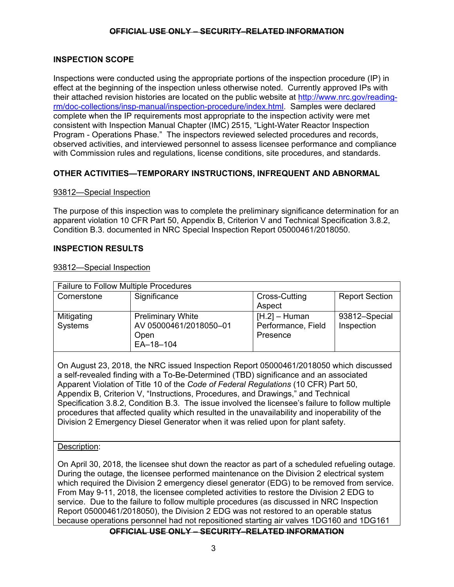## **INSPECTION SCOPE**

Inspections were conducted using the appropriate portions of the inspection procedure (IP) in effect at the beginning of the inspection unless otherwise noted. Currently approved IPs with their attached revision histories are located on the public website at http://www.nrc.gov/readingrm/doc-collections/insp-manual/inspection-procedure/index.html. Samples were declared complete when the IP requirements most appropriate to the inspection activity were met consistent with Inspection Manual Chapter (IMC) 2515, "Light-Water Reactor Inspection Program - Operations Phase." The inspectors reviewed selected procedures and records, observed activities, and interviewed personnel to assess licensee performance and compliance with Commission rules and regulations, license conditions, site procedures, and standards.

## **OTHER ACTIVITIES—TEMPORARY INSTRUCTIONS, INFREQUENT AND ABNORMAL**

## 93812—Special Inspection

The purpose of this inspection was to complete the preliminary significance determination for an apparent violation 10 CFR Part 50, Appendix B, Criterion V and Technical Specification 3.8.2, Condition B.3. documented in NRC Special Inspection Report 05000461/2018050.

## **INSPECTION RESULTS**

#### 93812—Special Inspection

| <b>Failure to Follow Multiple Procedures</b> |                                                                         |                                                   |                             |
|----------------------------------------------|-------------------------------------------------------------------------|---------------------------------------------------|-----------------------------|
| Cornerstone                                  | Significance                                                            | Cross-Cutting<br>Aspect                           | <b>Report Section</b>       |
| Mitigating<br>Systems                        | <b>Preliminary White</b><br>AV 05000461/2018050-01<br>Open<br>EA-18-104 | $[H.2] - Human$<br>Performance, Field<br>Presence | 93812-Special<br>Inspection |

On August 23, 2018, the NRC issued Inspection Report 05000461/2018050 which discussed a self-revealed finding with a To-Be-Determined (TBD) significance and an associated Apparent Violation of Title 10 of the *Code of Federal Regulations* (10 CFR) Part 50, Appendix B, Criterion V, "Instructions, Procedures, and Drawings," and Technical Specification 3.8.2, Condition B.3. The issue involved the licensee's failure to follow multiple procedures that affected quality which resulted in the unavailability and inoperability of the Division 2 Emergency Diesel Generator when it was relied upon for plant safety.

## Description:

On April 30, 2018, the licensee shut down the reactor as part of a scheduled refueling outage. During the outage, the licensee performed maintenance on the Division 2 electrical system which required the Division 2 emergency diesel generator (EDG) to be removed from service. From May 9-11, 2018, the licensee completed activities to restore the Division 2 EDG to service. Due to the failure to follow multiple procedures (as discussed in NRC Inspection Report 05000461/2018050), the Division 2 EDG was not restored to an operable status because operations personnel had not repositioned starting air valves 1DG160 and 1DG161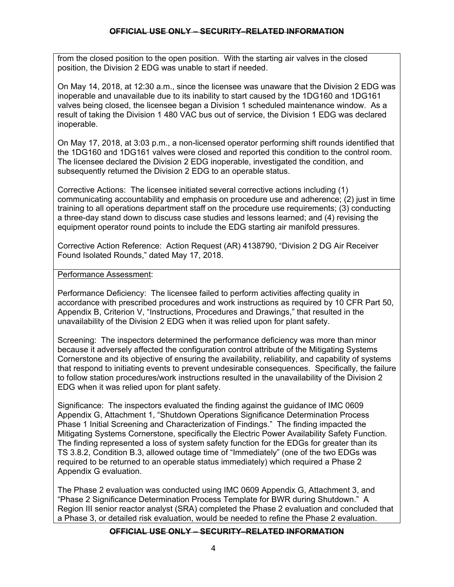from the closed position to the open position. With the starting air valves in the closed position, the Division 2 EDG was unable to start if needed.

On May 14, 2018, at 12:30 a.m., since the licensee was unaware that the Division 2 EDG was inoperable and unavailable due to its inability to start caused by the 1DG160 and 1DG161 valves being closed, the licensee began a Division 1 scheduled maintenance window. As a result of taking the Division 1 480 VAC bus out of service, the Division 1 EDG was declared inoperable.

On May 17, 2018, at 3:03 p.m., a non-licensed operator performing shift rounds identified that the 1DG160 and 1DG161 valves were closed and reported this condition to the control room. The licensee declared the Division 2 EDG inoperable, investigated the condition, and subsequently returned the Division 2 EDG to an operable status.

Corrective Actions: The licensee initiated several corrective actions including (1) communicating accountability and emphasis on procedure use and adherence; (2) just in time training to all operations department staff on the procedure use requirements; (3) conducting a three-day stand down to discuss case studies and lessons learned; and (4) revising the equipment operator round points to include the EDG starting air manifold pressures.

Corrective Action Reference: Action Request (AR) 4138790, "Division 2 DG Air Receiver Found Isolated Rounds," dated May 17, 2018.

Performance Assessment:

Performance Deficiency: The licensee failed to perform activities affecting quality in accordance with prescribed procedures and work instructions as required by 10 CFR Part 50, Appendix B, Criterion V, "Instructions, Procedures and Drawings," that resulted in the unavailability of the Division 2 EDG when it was relied upon for plant safety.

Screening: The inspectors determined the performance deficiency was more than minor because it adversely affected the configuration control attribute of the Mitigating Systems Cornerstone and its objective of ensuring the availability, reliability, and capability of systems that respond to initiating events to prevent undesirable consequences. Specifically, the failure to follow station procedures/work instructions resulted in the unavailability of the Division 2 EDG when it was relied upon for plant safety.

Significance: The inspectors evaluated the finding against the guidance of IMC 0609 Appendix G, Attachment 1, "Shutdown Operations Significance Determination Process Phase 1 Initial Screening and Characterization of Findings." The finding impacted the Mitigating Systems Cornerstone, specifically the Electric Power Availability Safety Function. The finding represented a loss of system safety function for the EDGs for greater than its TS 3.8.2, Condition B.3, allowed outage time of "Immediately" (one of the two EDGs was required to be returned to an operable status immediately) which required a Phase 2 Appendix G evaluation.

The Phase 2 evaluation was conducted using IMC 0609 Appendix G, Attachment 3, and "Phase 2 Significance Determination Process Template for BWR during Shutdown." A Region III senior reactor analyst (SRA) completed the Phase 2 evaluation and concluded that a Phase 3, or detailed risk evaluation, would be needed to refine the Phase 2 evaluation.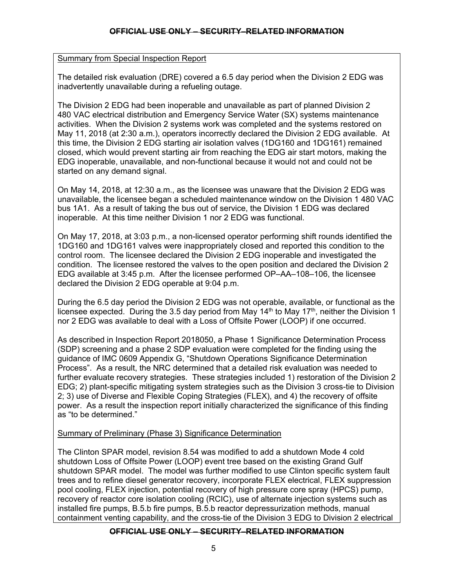## Summary from Special Inspection Report

The detailed risk evaluation (DRE) covered a 6.5 day period when the Division 2 EDG was inadvertently unavailable during a refueling outage.

The Division 2 EDG had been inoperable and unavailable as part of planned Division 2 480 VAC electrical distribution and Emergency Service Water (SX) systems maintenance activities. When the Division 2 systems work was completed and the systems restored on May 11, 2018 (at 2:30 a.m.), operators incorrectly declared the Division 2 EDG available. At this time, the Division 2 EDG starting air isolation valves (1DG160 and 1DG161) remained closed, which would prevent starting air from reaching the EDG air start motors, making the EDG inoperable, unavailable, and non-functional because it would not and could not be started on any demand signal.

On May 14, 2018, at 12:30 a.m., as the licensee was unaware that the Division 2 EDG was unavailable, the licensee began a scheduled maintenance window on the Division 1 480 VAC bus 1A1. As a result of taking the bus out of service, the Division 1 EDG was declared inoperable. At this time neither Division 1 nor 2 EDG was functional.

On May 17, 2018, at 3:03 p.m., a non-licensed operator performing shift rounds identified the 1DG160 and 1DG161 valves were inappropriately closed and reported this condition to the control room. The licensee declared the Division 2 EDG inoperable and investigated the condition. The licensee restored the valves to the open position and declared the Division 2 EDG available at 3:45 p.m. After the licensee performed OP–AA–108–106, the licensee declared the Division 2 EDG operable at 9:04 p.m.

During the 6.5 day period the Division 2 EDG was not operable, available, or functional as the licensee expected. During the 3.5 day period from May  $14<sup>th</sup>$  to May  $17<sup>th</sup>$ , neither the Division 1 nor 2 EDG was available to deal with a Loss of Offsite Power (LOOP) if one occurred.

As described in Inspection Report 2018050, a Phase 1 Significance Determination Process (SDP) screening and a phase 2 SDP evaluation were completed for the finding using the guidance of IMC 0609 Appendix G, "Shutdown Operations Significance Determination Process". As a result, the NRC determined that a detailed risk evaluation was needed to further evaluate recovery strategies. These strategies included 1) restoration of the Division 2 EDG; 2) plant-specific mitigating system strategies such as the Division 3 cross-tie to Division 2; 3) use of Diverse and Flexible Coping Strategies (FLEX), and 4) the recovery of offsite power. As a result the inspection report initially characterized the significance of this finding as "to be determined."

## Summary of Preliminary (Phase 3) Significance Determination

The Clinton SPAR model, revision 8.54 was modified to add a shutdown Mode 4 cold shutdown Loss of Offsite Power (LOOP) event tree based on the existing Grand Gulf shutdown SPAR model. The model was further modified to use Clinton specific system fault trees and to refine diesel generator recovery, incorporate FLEX electrical, FLEX suppression pool cooling, FLEX injection, potential recovery of high pressure core spray (HPCS) pump, recovery of reactor core isolation cooling (RCIC), use of alternate injection systems such as installed fire pumps, B.5.b fire pumps, B.5.b reactor depressurization methods, manual containment venting capability, and the cross-tie of the Division 3 EDG to Division 2 electrical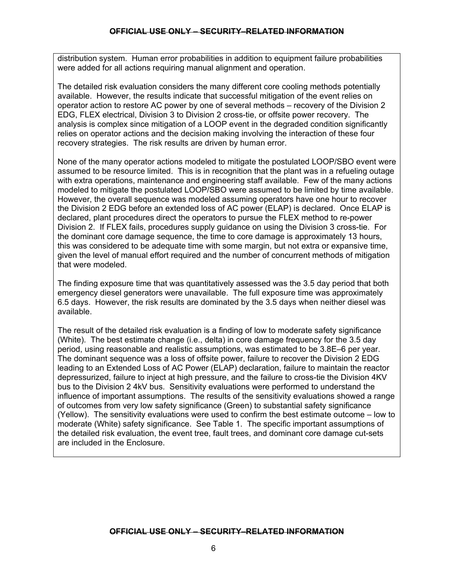distribution system. Human error probabilities in addition to equipment failure probabilities were added for all actions requiring manual alignment and operation.

The detailed risk evaluation considers the many different core cooling methods potentially available. However, the results indicate that successful mitigation of the event relies on operator action to restore AC power by one of several methods – recovery of the Division 2 EDG, FLEX electrical, Division 3 to Division 2 cross-tie, or offsite power recovery. The analysis is complex since mitigation of a LOOP event in the degraded condition significantly relies on operator actions and the decision making involving the interaction of these four recovery strategies. The risk results are driven by human error.

None of the many operator actions modeled to mitigate the postulated LOOP/SBO event were assumed to be resource limited. This is in recognition that the plant was in a refueling outage with extra operations, maintenance and engineering staff available. Few of the many actions modeled to mitigate the postulated LOOP/SBO were assumed to be limited by time available. However, the overall sequence was modeled assuming operators have one hour to recover the Division 2 EDG before an extended loss of AC power (ELAP) is declared. Once ELAP is declared, plant procedures direct the operators to pursue the FLEX method to re-power Division 2. If FLEX fails, procedures supply guidance on using the Division 3 cross-tie. For the dominant core damage sequence, the time to core damage is approximately 13 hours, this was considered to be adequate time with some margin, but not extra or expansive time, given the level of manual effort required and the number of concurrent methods of mitigation that were modeled.

The finding exposure time that was quantitatively assessed was the 3.5 day period that both emergency diesel generators were unavailable. The full exposure time was approximately 6.5 days. However, the risk results are dominated by the 3.5 days when neither diesel was available.

The result of the detailed risk evaluation is a finding of low to moderate safety significance (White). The best estimate change (i.e., delta) in core damage frequency for the 3.5 day period, using reasonable and realistic assumptions, was estimated to be 3.8E–6 per year. The dominant sequence was a loss of offsite power, failure to recover the Division 2 EDG leading to an Extended Loss of AC Power (ELAP) declaration, failure to maintain the reactor depressurized, failure to inject at high pressure, and the failure to cross-tie the Division 4KV bus to the Division 2 4kV bus. Sensitivity evaluations were performed to understand the influence of important assumptions. The results of the sensitivity evaluations showed a range of outcomes from very low safety significance (Green) to substantial safety significance (Yellow). The sensitivity evaluations were used to confirm the best estimate outcome – low to moderate (White) safety significance. See Table 1. The specific important assumptions of the detailed risk evaluation, the event tree, fault trees, and dominant core damage cut-sets are included in the Enclosure.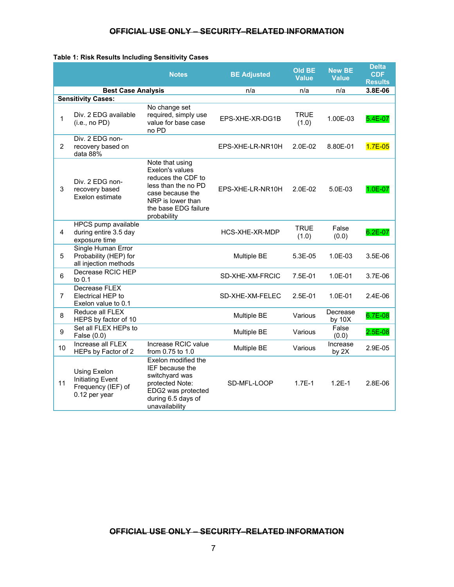#### **Table 1: Risk Results Including Sensitivity Cases**

|                |                                                                                | <b>Notes</b>                                                                                                                                                    | <b>BE Adjusted</b> | <b>Old BE</b><br><b>Value</b> | <b>New BE</b><br><b>Value</b> | <b>Delta</b><br><b>CDF</b><br><b>Results</b> |
|----------------|--------------------------------------------------------------------------------|-----------------------------------------------------------------------------------------------------------------------------------------------------------------|--------------------|-------------------------------|-------------------------------|----------------------------------------------|
|                | <b>Best Case Analysis</b>                                                      |                                                                                                                                                                 | n/a                | n/a                           | n/a                           | 3.8E-06                                      |
|                | <b>Sensitivity Cases:</b>                                                      |                                                                                                                                                                 |                    |                               |                               |                                              |
| $\mathbf{1}$   | Div. 2 EDG available<br>(i.e., no PD)                                          | No change set<br>required, simply use<br>value for base case<br>no PD                                                                                           | EPS-XHE-XR-DG1B    | TRUE<br>(1.0)                 | 1.00E-03                      | 5.4E-07                                      |
| $\overline{2}$ | Div. 2 EDG non-<br>recovery based on<br>data 88%                               |                                                                                                                                                                 | EPS-XHE-LR-NR10H   | $2.0E-02$                     | 8.80E-01                      | $1.7E - 0.5$                                 |
| 3              | Div. 2 EDG non-<br>recovery based<br>Exelon estimate                           | Note that using<br>Exelon's values<br>reduces the CDF to<br>less than the no PD<br>case because the<br>NRP is lower than<br>the base EDG failure<br>probability | EPS-XHE-LR-NR10H   | $2.0E-02$                     | $5.0E-03$                     | $1.0E - 07$                                  |
| 4              | HPCS pump available<br>during entire 3.5 day<br>exposure time                  |                                                                                                                                                                 | HCS-XHE-XR-MDP     | <b>TRUE</b><br>(1.0)          | False<br>(0.0)                | 6.2E-07                                      |
| 5              | <b>Single Human Error</b><br>Probability (HEP) for<br>all injection methods    |                                                                                                                                                                 | Multiple BE        | 5.3E-05                       | 1.0E-03                       | 3.5E-06                                      |
| 6              | Decrease RCIC HEP<br>to $0.1$                                                  |                                                                                                                                                                 | SD-XHE-XM-FRCIC    | 7.5E-01                       | 1.0E-01                       | 3.7E-06                                      |
| $\overline{7}$ | Decrease FLEX<br>Electrical HEP to<br>Exelon value to 0.1                      |                                                                                                                                                                 | SD-XHE-XM-FELEC    | 2.5E-01                       | 1.0E-01                       | 2.4E-06                                      |
| 8              | Reduce all FLEX<br>HEPS by factor of 10                                        |                                                                                                                                                                 | Multiple BE        | Various                       | Decrease<br>by $10X$          | 6.7E-08                                      |
| 9              | Set all FLEX HEPs to<br>False (0.0)                                            |                                                                                                                                                                 | Multiple BE        | Various                       | False<br>(0.0)                | $2.5E - 08$                                  |
| 10             | Increase all FLEX<br>HEPs by Factor of 2                                       | Increase RCIC value<br>from 0.75 to 1.0                                                                                                                         | Multiple BE        | Various                       | Increase<br>by 2X             | 2.9E-05                                      |
| 11             | Using Exelon<br><b>Initiating Event</b><br>Frequency (IEF) of<br>0.12 per year | Exelon modified the<br><b>IEF</b> because the<br>switchyard was<br>protected Note:<br>EDG2 was protected<br>during 6.5 days of<br>unavailability                | SD-MFL-LOOP        | $1.7E-1$                      | $1.2E - 1$                    | 2.8E-06                                      |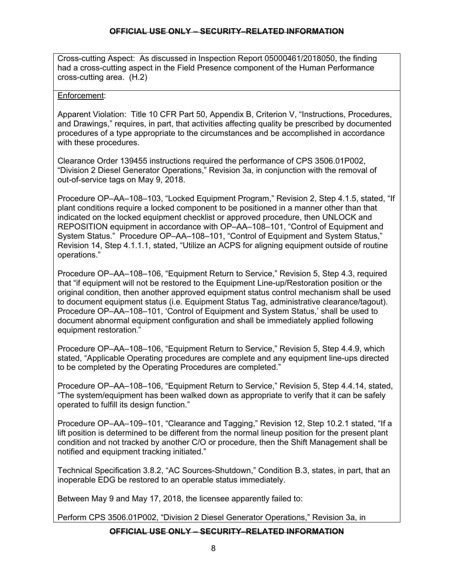Cross-cutting Aspect: As discussed in Inspection Report 05000461/2018050, the finding had a cross-cutting aspect in the Field Presence component of the Human Performance cross-cutting area. (H.2)

## Enforcement:

Apparent Violation: Title 10 CFR Part 50, Appendix B, Criterion V, "Instructions, Procedures, and Drawings," requires, in part, that activities affecting quality be prescribed by documented procedures of a type appropriate to the circumstances and be accomplished in accordance with these procedures.

Clearance Order 139455 instructions required the performance of CPS 3506.01P002, "Division 2 Diesel Generator Operations," Revision 3a, in conjunction with the removal of out-of-service tags on May 9, 2018.

Procedure OP–AA–108–103, "Locked Equipment Program," Revision 2, Step 4.1.5, stated, "If plant conditions require a locked component to be positioned in a manner other than that indicated on the locked equipment checklist or approved procedure, then UNLOCK and REPOSITION equipment in accordance with OP–AA–108–101, "Control of Equipment and System Status." Procedure OP–AA–108–101, "Control of Equipment and System Status," Revision 14, Step 4.1.1.1, stated, "Utilize an ACPS for aligning equipment outside of routine operations."

Procedure OP–AA–108–106, "Equipment Return to Service," Revision 5, Step 4.3, required that "if equipment will not be restored to the Equipment Line-up/Restoration position or the original condition, then another approved equipment status control mechanism shall be used to document equipment status (i.e. Equipment Status Tag, administrative clearance/tagout). Procedure OP–AA–108–101, 'Control of Equipment and System Status,' shall be used to document abnormal equipment configuration and shall be immediately applied following equipment restoration."

Procedure OP–AA–108–106, "Equipment Return to Service," Revision 5, Step 4.4.9, which stated, "Applicable Operating procedures are complete and any equipment line-ups directed to be completed by the Operating Procedures are completed."

Procedure OP–AA–108–106, "Equipment Return to Service," Revision 5, Step 4.4.14, stated, "The system/equipment has been walked down as appropriate to verify that it can be safely operated to fulfill its design function."

Procedure OP–AA–109–101, "Clearance and Tagging," Revision 12, Step 10.2.1 stated, "If a lift position is determined to be different from the normal lineup position for the present plant condition and not tracked by another C/O or procedure, then the Shift Management shall be notified and equipment tracking initiated."

Technical Specification 3.8.2, "AC Sources-Shutdown," Condition B.3, states, in part, that an inoperable EDG be restored to an operable status immediately.

Between May 9 and May 17, 2018, the licensee apparently failed to:

Perform CPS 3506.01P002, "Division 2 Diesel Generator Operations," Revision 3a, in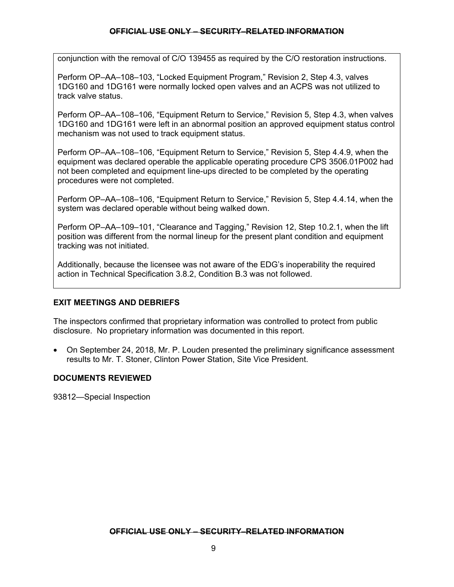conjunction with the removal of C/O 139455 as required by the C/O restoration instructions.

Perform OP–AA–108–103, "Locked Equipment Program," Revision 2, Step 4.3, valves 1DG160 and 1DG161 were normally locked open valves and an ACPS was not utilized to track valve status.

Perform OP–AA–108–106, "Equipment Return to Service," Revision 5, Step 4.3, when valves 1DG160 and 1DG161 were left in an abnormal position an approved equipment status control mechanism was not used to track equipment status.

Perform OP–AA–108–106, "Equipment Return to Service," Revision 5, Step 4.4.9, when the equipment was declared operable the applicable operating procedure CPS 3506.01P002 had not been completed and equipment line-ups directed to be completed by the operating procedures were not completed.

Perform OP–AA–108–106, "Equipment Return to Service," Revision 5, Step 4.4.14, when the system was declared operable without being walked down.

Perform OP–AA–109–101, "Clearance and Tagging," Revision 12, Step 10.2.1, when the lift position was different from the normal lineup for the present plant condition and equipment tracking was not initiated.

Additionally, because the licensee was not aware of the EDG's inoperability the required action in Technical Specification 3.8.2, Condition B.3 was not followed.

## **EXIT MEETINGS AND DEBRIEFS**

The inspectors confirmed that proprietary information was controlled to protect from public disclosure. No proprietary information was documented in this report.

• On September 24, 2018, Mr. P. Louden presented the preliminary significance assessment results to Mr. T. Stoner, Clinton Power Station, Site Vice President.

## **DOCUMENTS REVIEWED**

93812—Special Inspection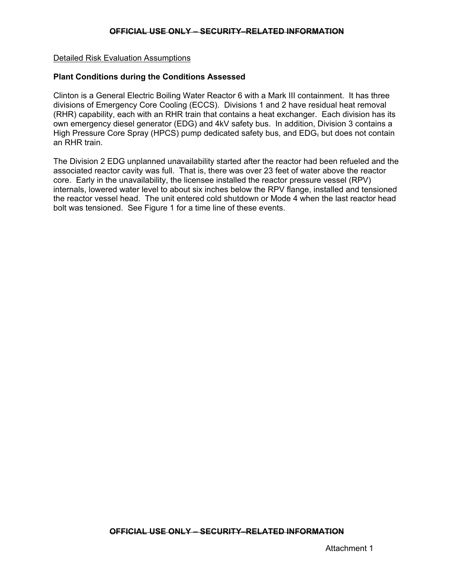#### Detailed Risk Evaluation Assumptions

#### **Plant Conditions during the Conditions Assessed**

Clinton is a General Electric Boiling Water Reactor 6 with a Mark III containment. It has three divisions of Emergency Core Cooling (ECCS). Divisions 1 and 2 have residual heat removal (RHR) capability, each with an RHR train that contains a heat exchanger. Each division has its own emergency diesel generator (EDG) and 4kV safety bus. In addition, Division 3 contains a High Pressure Core Spray (HPCS) pump dedicated safety bus, and  $EDG<sub>z</sub>$  but does not contain an RHR train.

The Division 2 EDG unplanned unavailability started after the reactor had been refueled and the associated reactor cavity was full. That is, there was over 23 feet of water above the reactor core. Early in the unavailability, the licensee installed the reactor pressure vessel (RPV) internals, lowered water level to about six inches below the RPV flange, installed and tensioned the reactor vessel head. The unit entered cold shutdown or Mode 4 when the last reactor head bolt was tensioned. See Figure 1 for a time line of these events.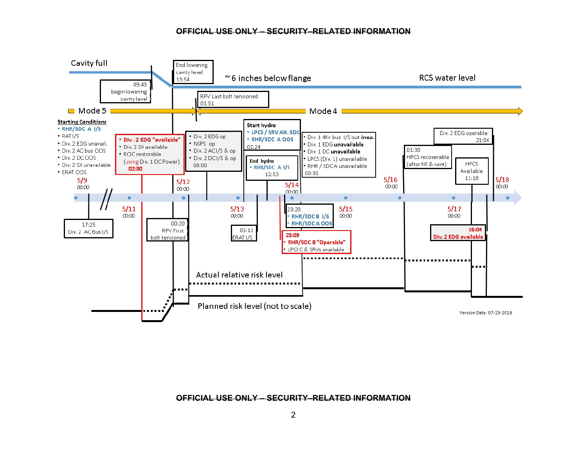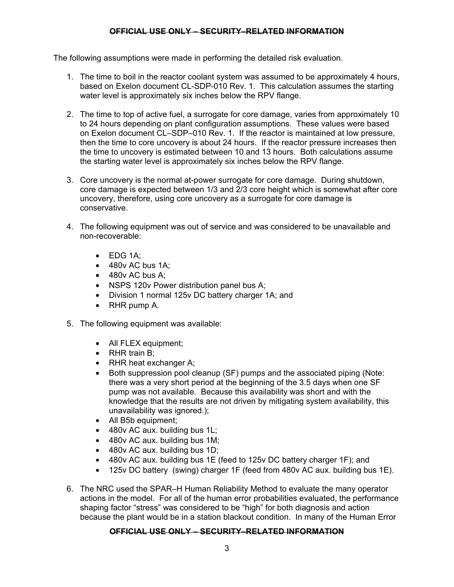The following assumptions were made in performing the detailed risk evaluation.

- 1. The time to boil in the reactor coolant system was assumed to be approximately 4 hours, based on Exelon document CL-SDP-010 Rev. 1. This calculation assumes the starting water level is approximately six inches below the RPV flange.
- 2. The time to top of active fuel, a surrogate for core damage, varies from approximately 10 to 24 hours depending on plant configuration assumptions. These values were based on Exelon document CL–SDP–010 Rev. 1. If the reactor is maintained at low pressure, then the time to core uncovery is about 24 hours. If the reactor pressure increases then the time to uncovery is estimated between 10 and 13 hours. Both calculations assume the starting water level is approximately six inches below the RPV flange.
- 3. Core uncovery is the normal at-power surrogate for core damage. During shutdown, core damage is expected between 1/3 and 2/3 core height which is somewhat after core uncovery, therefore, using core uncovery as a surrogate for core damage is conservative.
- 4. The following equipment was out of service and was considered to be unavailable and non-recoverable:
	- EDG 1A;
	- 480v AC bus 1A;
	- 480y AC bus A:
	- NSPS 120v Power distribution panel bus A;
	- Division 1 normal 125 v DC battery charger 1A: and
	- RHR pump A.
- 5. The following equipment was available:
	- All FLEX equipment;
	- RHR train B;
	- RHR heat exchanger A;
	- Both suppression pool cleanup (SF) pumps and the associated piping (Note: there was a very short period at the beginning of the 3.5 days when one SF pump was not available. Because this availability was short and with the knowledge that the results are not driven by mitigating system availability, this unavailability was ignored.);
	- All B5b equipment;
	- 480v AC aux. building bus 1L;
	- 480v AC aux. building bus 1M;
	- 480v AC aux. building bus 1D;
	- 480v AC aux. building bus 1E (feed to 125v DC battery charger 1F); and
	- 125v DC battery (swing) charger 1F (feed from 480v AC aux. building bus 1E).
- 6. The NRC used the SPAR–H Human Reliability Method to evaluate the many operator actions in the model. For all of the human error probabilities evaluated, the performance shaping factor "stress" was considered to be "high" for both diagnosis and action because the plant would be in a station blackout condition. In many of the Human Error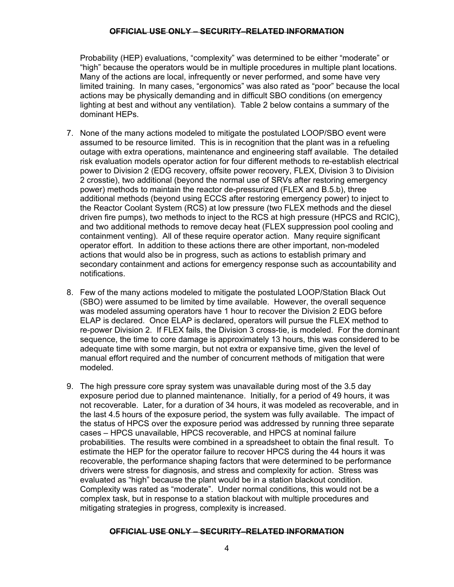Probability (HEP) evaluations, "complexity" was determined to be either "moderate" or "high" because the operators would be in multiple procedures in multiple plant locations. Many of the actions are local, infrequently or never performed, and some have very limited training. In many cases, "ergonomics" was also rated as "poor" because the local actions may be physically demanding and in difficult SBO conditions (on emergency lighting at best and without any ventilation). Table 2 below contains a summary of the dominant HEPs.

- 7. None of the many actions modeled to mitigate the postulated LOOP/SBO event were assumed to be resource limited. This is in recognition that the plant was in a refueling outage with extra operations, maintenance and engineering staff available. The detailed risk evaluation models operator action for four different methods to re-establish electrical power to Division 2 (EDG recovery, offsite power recovery, FLEX, Division 3 to Division 2 crosstie), two additional (beyond the normal use of SRVs after restoring emergency power) methods to maintain the reactor de-pressurized (FLEX and B.5.b), three additional methods (beyond using ECCS after restoring emergency power) to inject to the Reactor Coolant System (RCS) at low pressure (two FLEX methods and the diesel driven fire pumps), two methods to inject to the RCS at high pressure (HPCS and RCIC), and two additional methods to remove decay heat (FLEX suppression pool cooling and containment venting). All of these require operator action. Many require significant operator effort. In addition to these actions there are other important, non-modeled actions that would also be in progress, such as actions to establish primary and secondary containment and actions for emergency response such as accountability and notifications.
- 8. Few of the many actions modeled to mitigate the postulated LOOP/Station Black Out (SBO) were assumed to be limited by time available. However, the overall sequence was modeled assuming operators have 1 hour to recover the Division 2 EDG before ELAP is declared. Once ELAP is declared, operators will pursue the FLEX method to re-power Division 2. If FLEX fails, the Division 3 cross-tie, is modeled. For the dominant sequence, the time to core damage is approximately 13 hours, this was considered to be adequate time with some margin, but not extra or expansive time, given the level of manual effort required and the number of concurrent methods of mitigation that were modeled.
- 9. The high pressure core spray system was unavailable during most of the 3.5 day exposure period due to planned maintenance. Initially, for a period of 49 hours, it was not recoverable. Later, for a duration of 34 hours, it was modeled as recoverable, and in the last 4.5 hours of the exposure period, the system was fully available. The impact of the status of HPCS over the exposure period was addressed by running three separate cases – HPCS unavailable, HPCS recoverable, and HPCS at nominal failure probabilities. The results were combined in a spreadsheet to obtain the final result. To estimate the HEP for the operator failure to recover HPCS during the 44 hours it was recoverable, the performance shaping factors that were determined to be performance drivers were stress for diagnosis, and stress and complexity for action. Stress was evaluated as "high" because the plant would be in a station blackout condition. Complexity was rated as "moderate". Under normal conditions, this would not be a complex task, but in response to a station blackout with multiple procedures and mitigating strategies in progress, complexity is increased.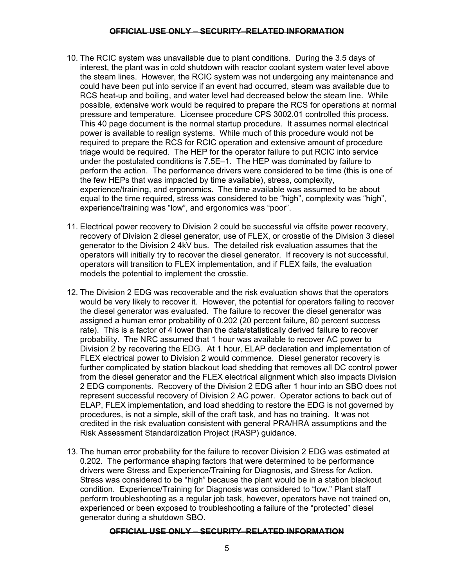- 10. The RCIC system was unavailable due to plant conditions. During the 3.5 days of interest, the plant was in cold shutdown with reactor coolant system water level above the steam lines. However, the RCIC system was not undergoing any maintenance and could have been put into service if an event had occurred, steam was available due to RCS heat-up and boiling, and water level had decreased below the steam line. While possible, extensive work would be required to prepare the RCS for operations at normal pressure and temperature. Licensee procedure CPS 3002.01 controlled this process. This 40 page document is the normal startup procedure. It assumes normal electrical power is available to realign systems. While much of this procedure would not be required to prepare the RCS for RCIC operation and extensive amount of procedure triage would be required. The HEP for the operator failure to put RCIC into service under the postulated conditions is 7.5E–1. The HEP was dominated by failure to perform the action. The performance drivers were considered to be time (this is one of the few HEPs that was impacted by time available), stress, complexity, experience/training, and ergonomics. The time available was assumed to be about equal to the time required, stress was considered to be "high", complexity was "high", experience/training was "low", and ergonomics was "poor".
- 11. Electrical power recovery to Division 2 could be successful via offsite power recovery, recovery of Division 2 diesel generator, use of FLEX, or crosstie of the Division 3 diesel generator to the Division 2 4kV bus. The detailed risk evaluation assumes that the operators will initially try to recover the diesel generator. If recovery is not successful, operators will transition to FLEX implementation, and if FLEX fails, the evaluation models the potential to implement the crosstie.
- 12. The Division 2 EDG was recoverable and the risk evaluation shows that the operators would be very likely to recover it. However, the potential for operators failing to recover the diesel generator was evaluated. The failure to recover the diesel generator was assigned a human error probability of 0.202 (20 percent failure, 80 percent success rate). This is a factor of 4 lower than the data/statistically derived failure to recover probability. The NRC assumed that 1 hour was available to recover AC power to Division 2 by recovering the EDG. At 1 hour, ELAP declaration and implementation of FLEX electrical power to Division 2 would commence. Diesel generator recovery is further complicated by station blackout load shedding that removes all DC control power from the diesel generator and the FLEX electrical alignment which also impacts Division 2 EDG components. Recovery of the Division 2 EDG after 1 hour into an SBO does not represent successful recovery of Division 2 AC power. Operator actions to back out of ELAP, FLEX implementation, and load shedding to restore the EDG is not governed by procedures, is not a simple, skill of the craft task, and has no training. It was not credited in the risk evaluation consistent with general PRA/HRA assumptions and the Risk Assessment Standardization Project (RASP) guidance.
- 13. The human error probability for the failure to recover Division 2 EDG was estimated at 0.202. The performance shaping factors that were determined to be performance drivers were Stress and Experience/Training for Diagnosis, and Stress for Action. Stress was considered to be "high" because the plant would be in a station blackout condition. Experience/Training for Diagnosis was considered to "low." Plant staff perform troubleshooting as a regular job task, however, operators have not trained on, experienced or been exposed to troubleshooting a failure of the "protected" diesel generator during a shutdown SBO.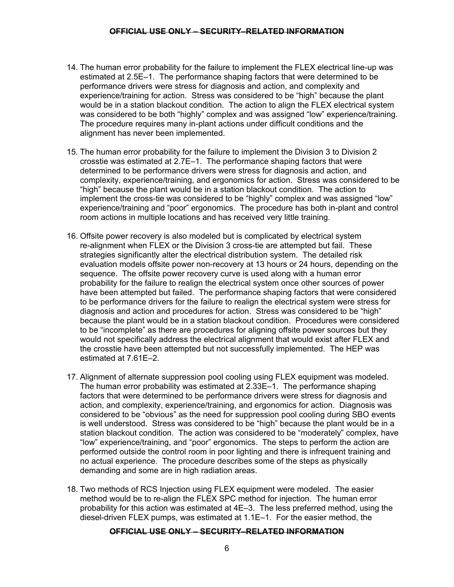- 14. The human error probability for the failure to implement the FLEX electrical line-up was estimated at 2.5E–1. The performance shaping factors that were determined to be performance drivers were stress for diagnosis and action, and complexity and experience/training for action. Stress was considered to be "high" because the plant would be in a station blackout condition. The action to align the FLEX electrical system was considered to be both "highly" complex and was assigned "low" experience/training. The procedure requires many in-plant actions under difficult conditions and the alignment has never been implemented.
- 15. The human error probability for the failure to implement the Division 3 to Division 2 crosstie was estimated at 2.7E–1. The performance shaping factors that were determined to be performance drivers were stress for diagnosis and action, and complexity, experience/training, and ergonomics for action. Stress was considered to be "high" because the plant would be in a station blackout condition. The action to implement the cross-tie was considered to be "highly" complex and was assigned "low" experience/training and "poor" ergonomics. The procedure has both in-plant and control room actions in multiple locations and has received very little training.
- 16. Offsite power recovery is also modeled but is complicated by electrical system re-alignment when FLEX or the Division 3 cross-tie are attempted but fail. These strategies significantly alter the electrical distribution system. The detailed risk evaluation models offsite power non-recovery at 13 hours or 24 hours, depending on the sequence. The offsite power recovery curve is used along with a human error probability for the failure to realign the electrical system once other sources of power have been attempted but failed. The performance shaping factors that were considered to be performance drivers for the failure to realign the electrical system were stress for diagnosis and action and procedures for action. Stress was considered to be "high" because the plant would be in a station blackout condition. Procedures were considered to be "incomplete" as there are procedures for aligning offsite power sources but they would not specifically address the electrical alignment that would exist after FLEX and the crosstie have been attempted but not successfully implemented. The HEP was estimated at 7.61E–2.
- 17. Alignment of alternate suppression pool cooling using FLEX equipment was modeled. The human error probability was estimated at 2.33E–1. The performance shaping factors that were determined to be performance drivers were stress for diagnosis and action, and complexity, experience/training, and ergonomics for action. Diagnosis was considered to be "obvious" as the need for suppression pool cooling during SBO events is well understood. Stress was considered to be "high" because the plant would be in a station blackout condition. The action was considered to be "moderately" complex, have "low" experience/training, and "poor" ergonomics. The steps to perform the action are performed outside the control room in poor lighting and there is infrequent training and no actual experience. The procedure describes some of the steps as physically demanding and some are in high radiation areas.
- 18. Two methods of RCS Injection using FLEX equipment were modeled. The easier method would be to re-align the FLEX SPC method for injection. The human error probability for this action was estimated at 4E–3. The less preferred method, using the diesel-driven FLEX pumps, was estimated at 1.1E–1. For the easier method, the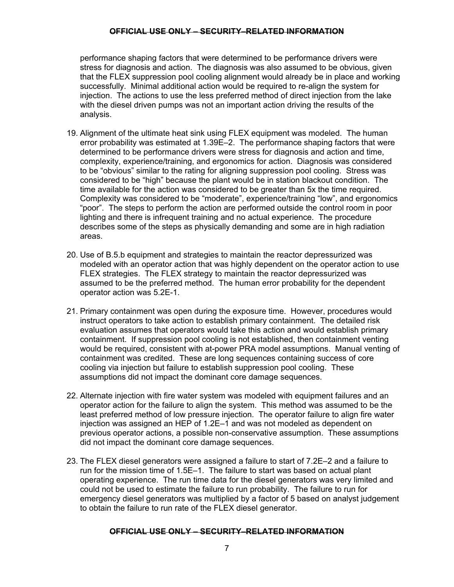performance shaping factors that were determined to be performance drivers were stress for diagnosis and action. The diagnosis was also assumed to be obvious, given that the FLEX suppression pool cooling alignment would already be in place and working successfully. Minimal additional action would be required to re-align the system for injection. The actions to use the less preferred method of direct injection from the lake with the diesel driven pumps was not an important action driving the results of the analysis.

- 19. Alignment of the ultimate heat sink using FLEX equipment was modeled. The human error probability was estimated at 1.39E–2. The performance shaping factors that were determined to be performance drivers were stress for diagnosis and action and time, complexity, experience/training, and ergonomics for action. Diagnosis was considered to be "obvious" similar to the rating for aligning suppression pool cooling. Stress was considered to be "high" because the plant would be in station blackout condition. The time available for the action was considered to be greater than 5x the time required. Complexity was considered to be "moderate", experience/training "low", and ergonomics "poor". The steps to perform the action are performed outside the control room in poor lighting and there is infrequent training and no actual experience. The procedure describes some of the steps as physically demanding and some are in high radiation areas.
- 20. Use of B.5.b equipment and strategies to maintain the reactor depressurized was modeled with an operator action that was highly dependent on the operator action to use FLEX strategies. The FLEX strategy to maintain the reactor depressurized was assumed to be the preferred method. The human error probability for the dependent operator action was 5.2E-1.
- 21. Primary containment was open during the exposure time. However, procedures would instruct operators to take action to establish primary containment. The detailed risk evaluation assumes that operators would take this action and would establish primary containment. If suppression pool cooling is not established, then containment venting would be required, consistent with at-power PRA model assumptions. Manual venting of containment was credited. These are long sequences containing success of core cooling via injection but failure to establish suppression pool cooling. These assumptions did not impact the dominant core damage sequences.
- 22. Alternate injection with fire water system was modeled with equipment failures and an operator action for the failure to align the system. This method was assumed to be the least preferred method of low pressure injection. The operator failure to align fire water injection was assigned an HEP of 1.2E–1 and was not modeled as dependent on previous operator actions, a possible non-conservative assumption. These assumptions did not impact the dominant core damage sequences.
- 23. The FLEX diesel generators were assigned a failure to start of 7.2E–2 and a failure to run for the mission time of 1.5E–1. The failure to start was based on actual plant operating experience. The run time data for the diesel generators was very limited and could not be used to estimate the failure to run probability. The failure to run for emergency diesel generators was multiplied by a factor of 5 based on analyst judgement to obtain the failure to run rate of the FLEX diesel generator.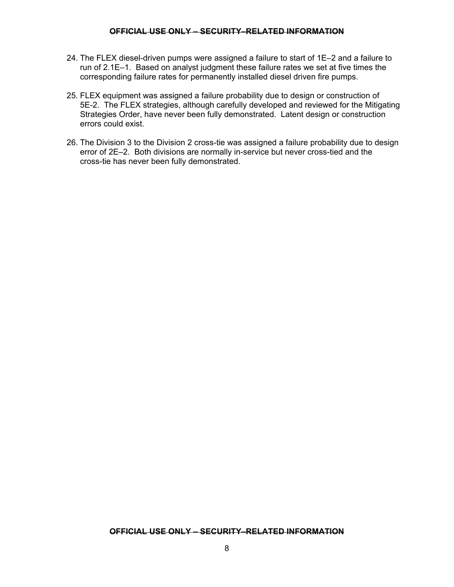- 24. The FLEX diesel-driven pumps were assigned a failure to start of 1E–2 and a failure to run of 2.1E–1. Based on analyst judgment these failure rates we set at five times the corresponding failure rates for permanently installed diesel driven fire pumps.
- 25. FLEX equipment was assigned a failure probability due to design or construction of 5E-2. The FLEX strategies, although carefully developed and reviewed for the Mitigating Strategies Order, have never been fully demonstrated. Latent design or construction errors could exist.
- 26. The Division 3 to the Division 2 cross-tie was assigned a failure probability due to design error of 2E–2. Both divisions are normally in-service but never cross-tied and the cross-tie has never been fully demonstrated.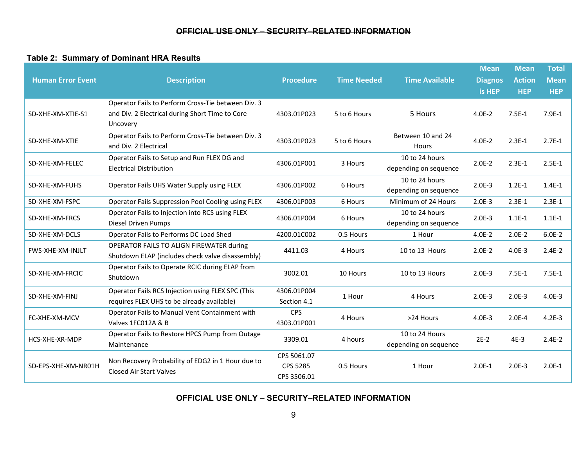## **Table 2: Summary of Dominant HRA Results**

| <b>Human Error Event</b> | <b>Description</b>                                                                                                | <b>Procedure</b>                       | <b>Time Needed</b> | <b>Time Available</b>                   | <b>Mean</b><br><b>Diagnos</b><br>is HEP | <b>Mean</b><br><b>Action</b><br><b>HEP</b> | <b>Total</b><br><b>Mean</b><br><b>HEP</b> |
|--------------------------|-------------------------------------------------------------------------------------------------------------------|----------------------------------------|--------------------|-----------------------------------------|-----------------------------------------|--------------------------------------------|-------------------------------------------|
| SD-XHE-XM-XTIE-S1        | Operator Fails to Perform Cross-Tie between Div. 3<br>and Div. 2 Electrical during Short Time to Core<br>Uncovery | 4303.01P023                            | 5 to 6 Hours       | 5 Hours                                 | $4.0E - 2$                              | $7.5E-1$                                   | $7.9E-1$                                  |
| SD-XHE-XM-XTIE           | Operator Fails to Perform Cross-Tie between Div. 3<br>and Div. 2 Electrical                                       | 4303.01P023                            | 5 to 6 Hours       | Between 10 and 24<br>Hours              | $4.0E-2$                                | $2.3E-1$                                   | $2.7E-1$                                  |
| SD-XHE-XM-FELEC          | Operator Fails to Setup and Run FLEX DG and<br><b>Electrical Distribution</b>                                     | 4306.01P001                            | 3 Hours            | 10 to 24 hours<br>depending on sequence | $2.0E-2$                                | $2.3E-1$                                   | $2.5E-1$                                  |
| SD-XHE-XM-FUHS           | Operator Fails UHS Water Supply using FLEX                                                                        | 4306.01P002                            | 6 Hours            | 10 to 24 hours<br>depending on sequence | $2.0E-3$                                | $1.2E-1$                                   | $1.4E-1$                                  |
| SD-XHE-XM-FSPC           | Operator Fails Suppression Pool Cooling using FLEX                                                                | 4306.01P003                            | 6 Hours            | Minimum of 24 Hours                     | $2.0E-3$                                | $2.3E-1$                                   | $2.3E-1$                                  |
| SD-XHE-XM-FRCS           | Operator Fails to Injection into RCS using FLEX<br>Diesel Driven Pumps                                            | 4306.01P004                            | 6 Hours            | 10 to 24 hours<br>depending on sequence | $2.0E-3$                                | $1.1E-1$                                   | $1.1E-1$                                  |
| SD-XHE-XM-DCLS           | Operator Fails to Performs DC Load Shed                                                                           | 4200.01C002                            | 0.5 Hours          | 1 Hour                                  | $4.0E - 2$                              | $2.0E-2$                                   | $6.0E-2$                                  |
| FWS-XHE-XM-INJLT         | OPERATOR FAILS TO ALIGN FIREWATER during<br>Shutdown ELAP (includes check valve disassembly)                      | 4411.03                                | 4 Hours            | 10 to 13 Hours                          | $2.0E-2$                                | $4.0E - 3$                                 | $2.4E-2$                                  |
| SD-XHE-XM-FRCIC          | Operator Fails to Operate RCIC during ELAP from<br>Shutdown                                                       | 3002.01                                | 10 Hours           | 10 to 13 Hours                          | $2.0E-3$                                | $7.5E-1$                                   | $7.5E-1$                                  |
| SD-XHE-XM-FINJ           | Operator Fails RCS Injection using FLEX SPC (This<br>requires FLEX UHS to be already available)                   | 4306.01P004<br>Section 4.1             | 1 Hour             | 4 Hours                                 | $2.0E-3$                                | $2.0E-3$                                   | $4.0E-3$                                  |
| FC-XHE-XM-MCV            | Operator Fails to Manual Vent Containment with<br>Valves 1FC012A & B                                              | <b>CPS</b><br>4303.01P001              | 4 Hours            | >24 Hours                               | $4.0E - 3$                              | $2.0E-4$                                   | $4.2E-3$                                  |
| HCS-XHE-XR-MDP           | Operator Fails to Restore HPCS Pump from Outage<br>Maintenance                                                    | 3309.01                                | 4 hours            | 10 to 24 Hours<br>depending on sequence | $2E-2$                                  | $4E-3$                                     | $2.4E-2$                                  |
| SD-EPS-XHE-XM-NR01H      | Non Recovery Probability of EDG2 in 1 Hour due to<br><b>Closed Air Start Valves</b>                               | CPS 5061.07<br>CPS 5285<br>CPS 3506.01 | 0.5 Hours          | 1 Hour                                  | $2.0E-1$                                | $2.0E-3$                                   | $2.0E-1$                                  |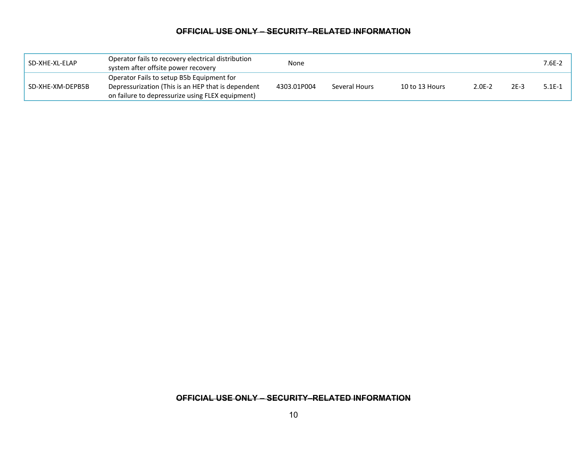| SD-XHE-XL-ELAP   | Operator fails to recovery electrical distribution<br>system after offsite power recovery                                                           | None        |               |                |          |        | $7.6E-2$ |
|------------------|-----------------------------------------------------------------------------------------------------------------------------------------------------|-------------|---------------|----------------|----------|--------|----------|
| SD-XHE-XM-DEPB5B | Operator Fails to setup B5b Equipment for<br>Depressurization (This is an HEP that is dependent<br>on failure to depressurize using FLEX equipment) | 4303.01P004 | Several Hours | 10 to 13 Hours | $2.0E-2$ | $2E-3$ | $5.1E-1$ |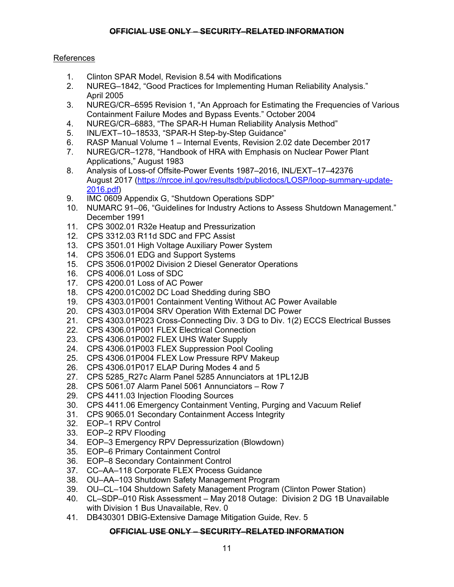## References

- 1. Clinton SPAR Model, Revision 8.54 with Modifications
- 2. NUREG–1842, "Good Practices for Implementing Human Reliability Analysis." April 2005
- 3. NUREG/CR–6595 Revision 1, "An Approach for Estimating the Frequencies of Various Containment Failure Modes and Bypass Events." October 2004
- 4. NUREG/CR–6883, "The SPAR-H Human Reliability Analysis Method"
- 5. INL/EXT–10–18533, "SPAR-H Step-by-Step Guidance"
- 6. RASP Manual Volume 1 Internal Events, Revision 2.02 date December 2017
- 7. NUREG/CR–1278, "Handbook of HRA with Emphasis on Nuclear Power Plant Applications," August 1983
- 8. Analysis of Loss-of Offsite-Power Events 1987–2016, INL/EXT–17–42376 August 2017 (https://nrcoe.inl.gov/resultsdb/publicdocs/LOSP/loop-summary-update-2016.pdf)
- 9. IMC 0609 Appendix G, "Shutdown Operations SDP"
- 10. NUMARC 91–06, "Guidelines for Industry Actions to Assess Shutdown Management." December 1991
- 11. CPS 3002.01 R32e Heatup and Pressurization
- 12. CPS 3312.03 R11d SDC and FPC Assist
- 13. CPS 3501.01 High Voltage Auxiliary Power System
- 14. CPS 3506.01 EDG and Support Systems
- 15. CPS 3506.01P002 Division 2 Diesel Generator Operations
- 16. CPS 4006.01 Loss of SDC
- 17. CPS 4200.01 Loss of AC Power
- 18. CPS 4200.01C002 DC Load Shedding during SBO
- 19. CPS 4303.01P001 Containment Venting Without AC Power Available
- 20. CPS 4303.01P004 SRV Operation With External DC Power
- 21. CPS 4303.01P023 Cross-Connecting Div. 3 DG to Div. 1(2) ECCS Electrical Busses
- 22. CPS 4306.01P001 FLEX Electrical Connection
- 23. CPS 4306.01P002 FLEX UHS Water Supply
- 24. CPS 4306.01P003 FLEX Suppression Pool Cooling
- 25. CPS 4306.01P004 FLEX Low Pressure RPV Makeup
- 26. CPS 4306.01P017 ELAP During Modes 4 and 5
- 27. CPS 5285\_R27c Alarm Panel 5285 Annunciators at 1PL12JB
- 28. CPS 5061.07 Alarm Panel 5061 Annunciators Row 7
- 29. CPS 4411.03 Injection Flooding Sources
- 30. CPS 4411.06 Emergency Containment Venting, Purging and Vacuum Relief
- 31. CPS 9065.01 Secondary Containment Access Integrity
- 32. EOP–1 RPV Control
- 33. EOP–2 RPV Flooding
- 34. EOP–3 Emergency RPV Depressurization (Blowdown)
- 35. EOP–6 Primary Containment Control
- 36. EOP–8 Secondary Containment Control
- 37. CC–AA–118 Corporate FLEX Process Guidance
- 38. OU–AA–103 Shutdown Safety Management Program
- 39. OU–CL–104 Shutdown Safety Management Program (Clinton Power Station)
- 40. CL–SDP–010 Risk Assessment May 2018 Outage: Division 2 DG 1B Unavailable with Division 1 Bus Unavailable, Rev. 0
- 41. DB430301 DBIG-Extensive Damage Mitigation Guide, Rev. 5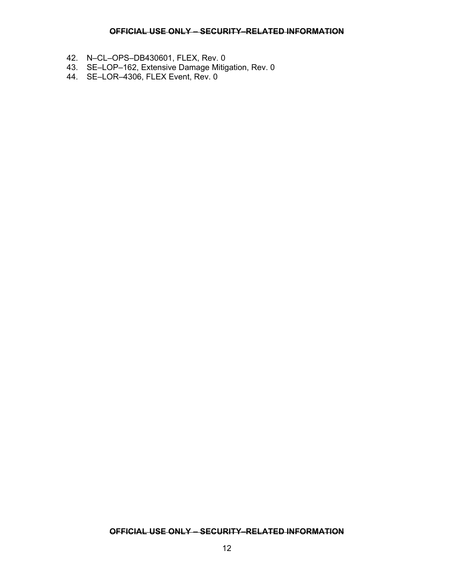- 42. N–CL–OPS–DB430601, FLEX, Rev. 0
- 43. SE–LOP–162, Extensive Damage Mitigation, Rev. 0
- 44. SE–LOR–4306, FLEX Event, Rev. 0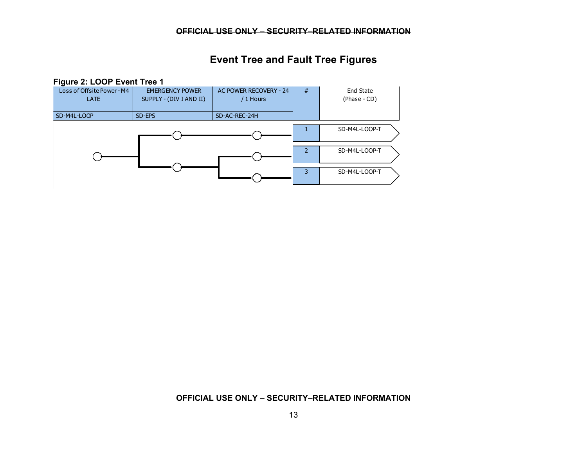# **Event Tree and Fault Tree Figures**

#### **Figure 2: LOOP Event Tree 1**

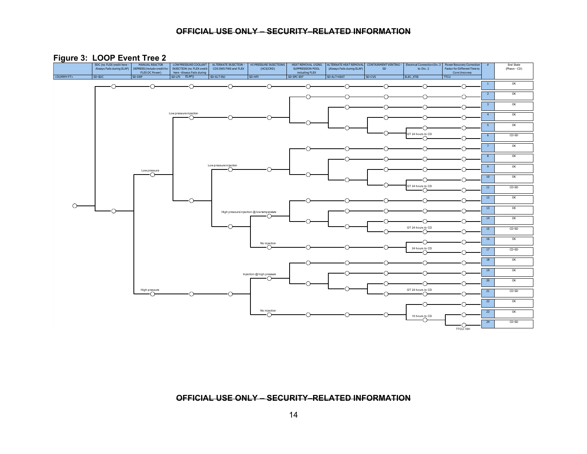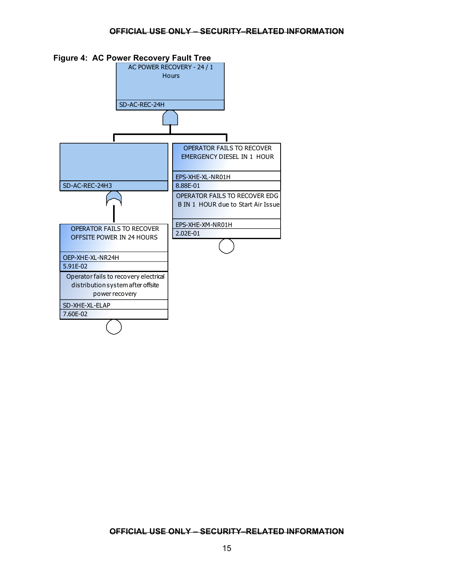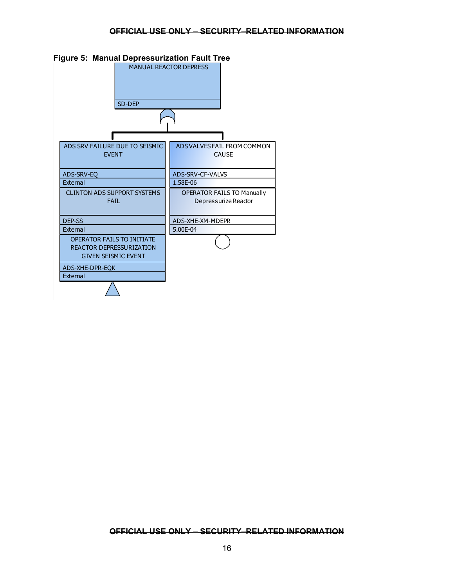

#### **Figure 5: Manual Depressurization Fault Tree**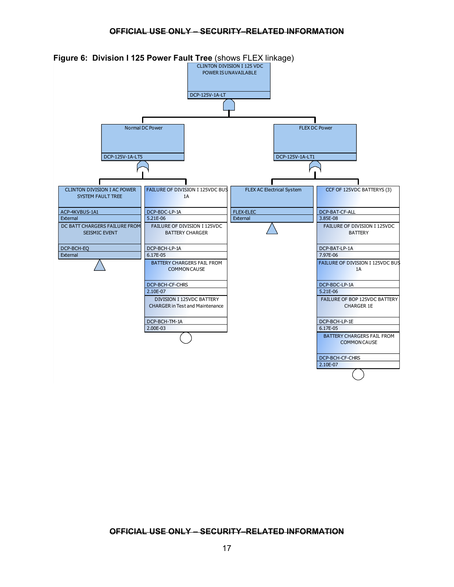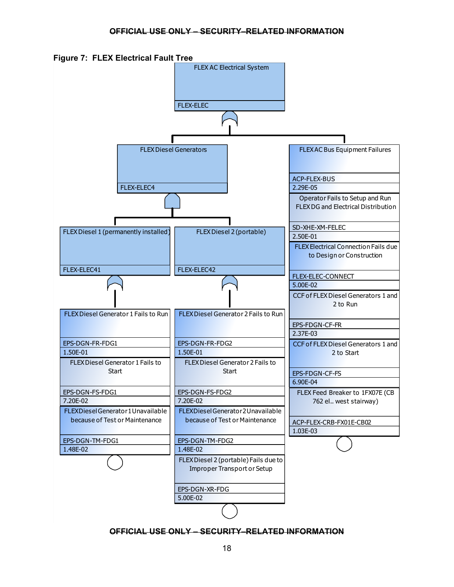

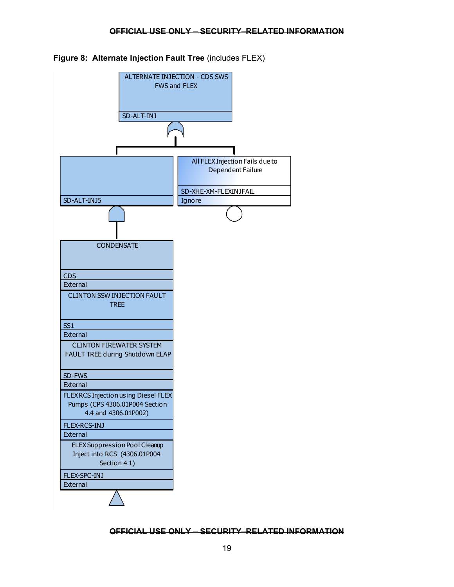

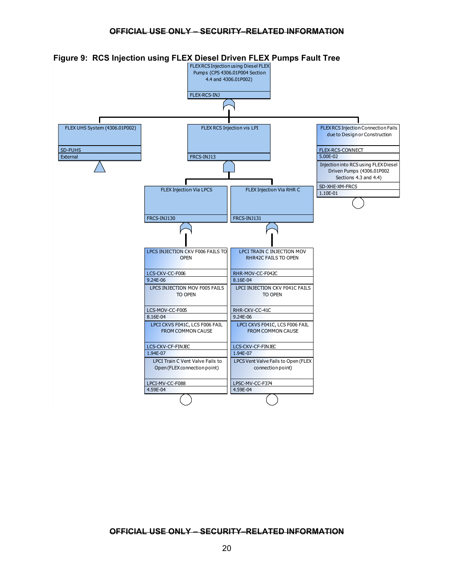

**Figure 9: RCS Injection using FLEX Diesel Driven FLEX Pumps Fault Tree**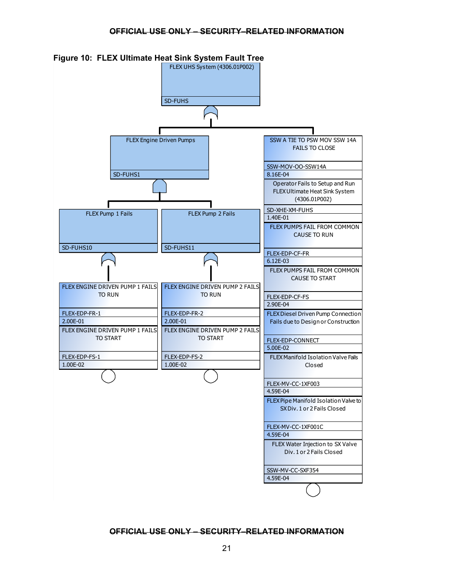

**Figure 10: FLEX Ultimate Heat Sink System Fault Tree**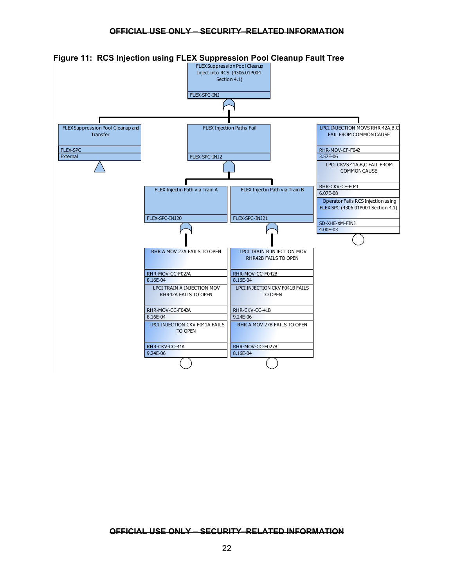

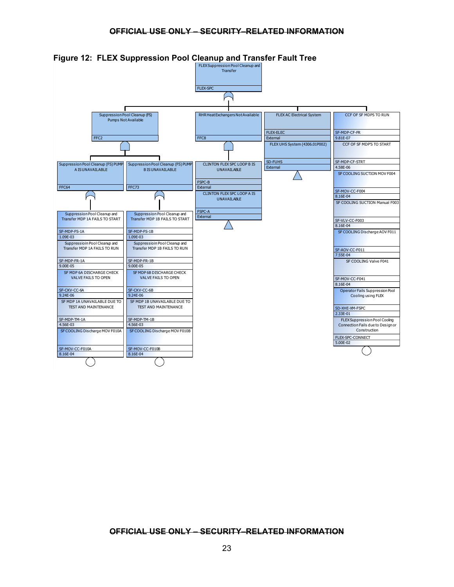

**Figure 12: FLEX Suppression Pool Cleanup and Transfer Fault Tree**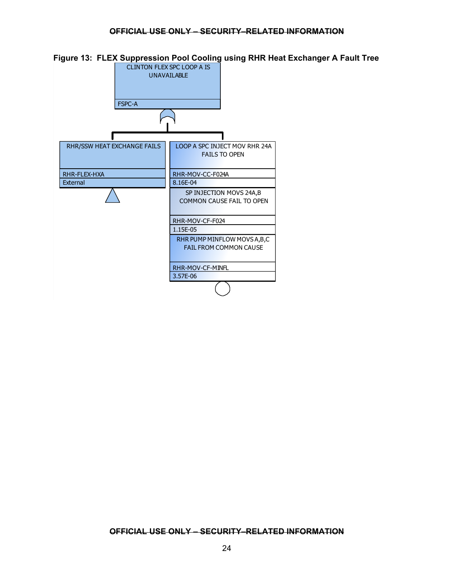

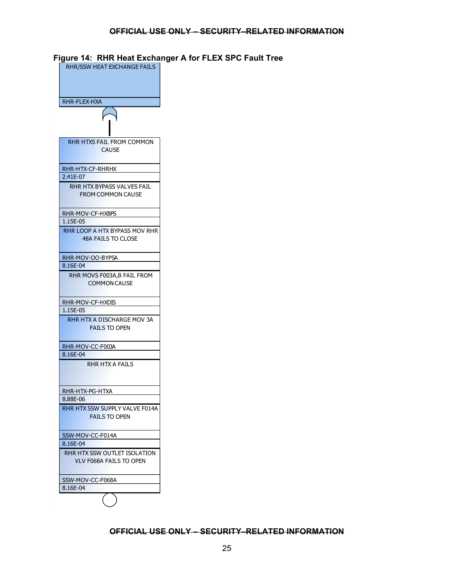| RHR-FLEX-HXA |                                      |
|--------------|--------------------------------------|
|              | $\bigcap$                            |
|              |                                      |
|              |                                      |
|              | <b>RHR HTXS FAIL FROM COMMON</b>     |
|              | <b>CAUSE</b>                         |
|              |                                      |
|              | RHR-HTX-CF-RHRHX                     |
| 2.41E-07     |                                      |
|              | RHR HTX BYPASS VALVES FAIL           |
|              | <b>FROM COMMON CAUSE</b>             |
|              |                                      |
|              | RHR-MOV-CF-HXBPS                     |
| 1.15E-05     |                                      |
|              | <b>RHR LOOP A HTX BYPASS MOV RHR</b> |
|              | <b>48A FAILS TO CLOSE</b>            |
|              |                                      |
|              | RHR-MOV-OO-BYPSA                     |
| 8.16E-04     |                                      |
|              | RHR MOVS F003A, B FAIL FROM          |
|              | <b>COMMON CAUSE</b>                  |
|              |                                      |
|              |                                      |
| 1.15E-05     | RHR-MOV-CF-HXDIS                     |
|              | RHR HTX A DISCHARGE MOV 3A           |
|              | <b>FAILS TO OPEN</b>                 |
|              |                                      |
|              |                                      |
| 8.16E-04     | RHR-MOV-CC-F003A                     |
|              | RHR HTX A FAILS                      |
|              |                                      |
|              |                                      |
|              |                                      |
| 8.88E-06     | RHR-HTX-PG-HTXA                      |
|              | RHR HTX SSW SUPPLY VALVE F014A       |
|              | <b>FAILS TO OPEN</b>                 |
|              |                                      |
|              |                                      |
|              | SSW-MOV-CC-F014A                     |
| 8.16E-04     |                                      |
|              | RHR HTX SSW OUTLET ISOLATION         |
|              | <b>VLV F068A FAILS TO OPEN</b>       |
|              |                                      |
|              |                                      |
|              | SSW-MOV-CC-F068A                     |

## **Figure 14: RHR Heat Exchanger A for FLEX SPC Fault Tree**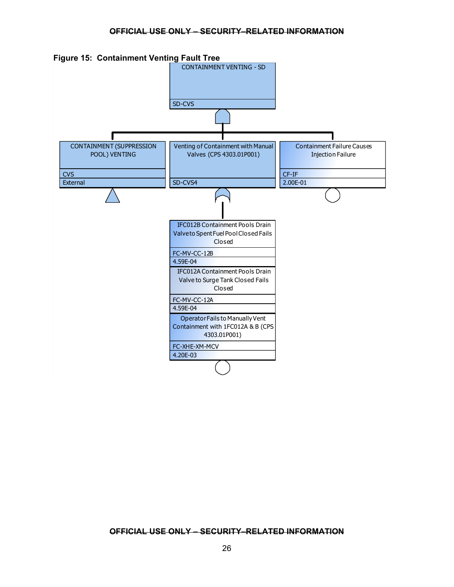

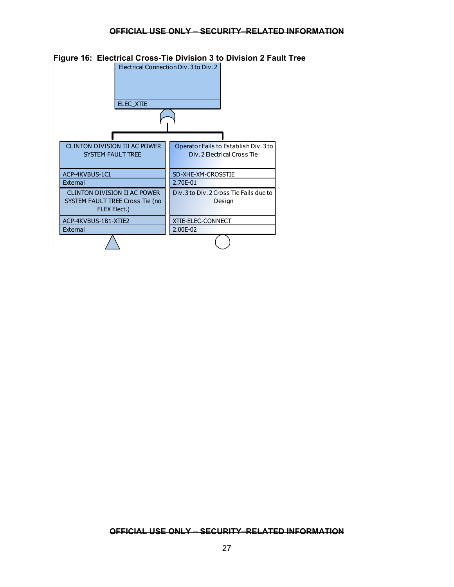